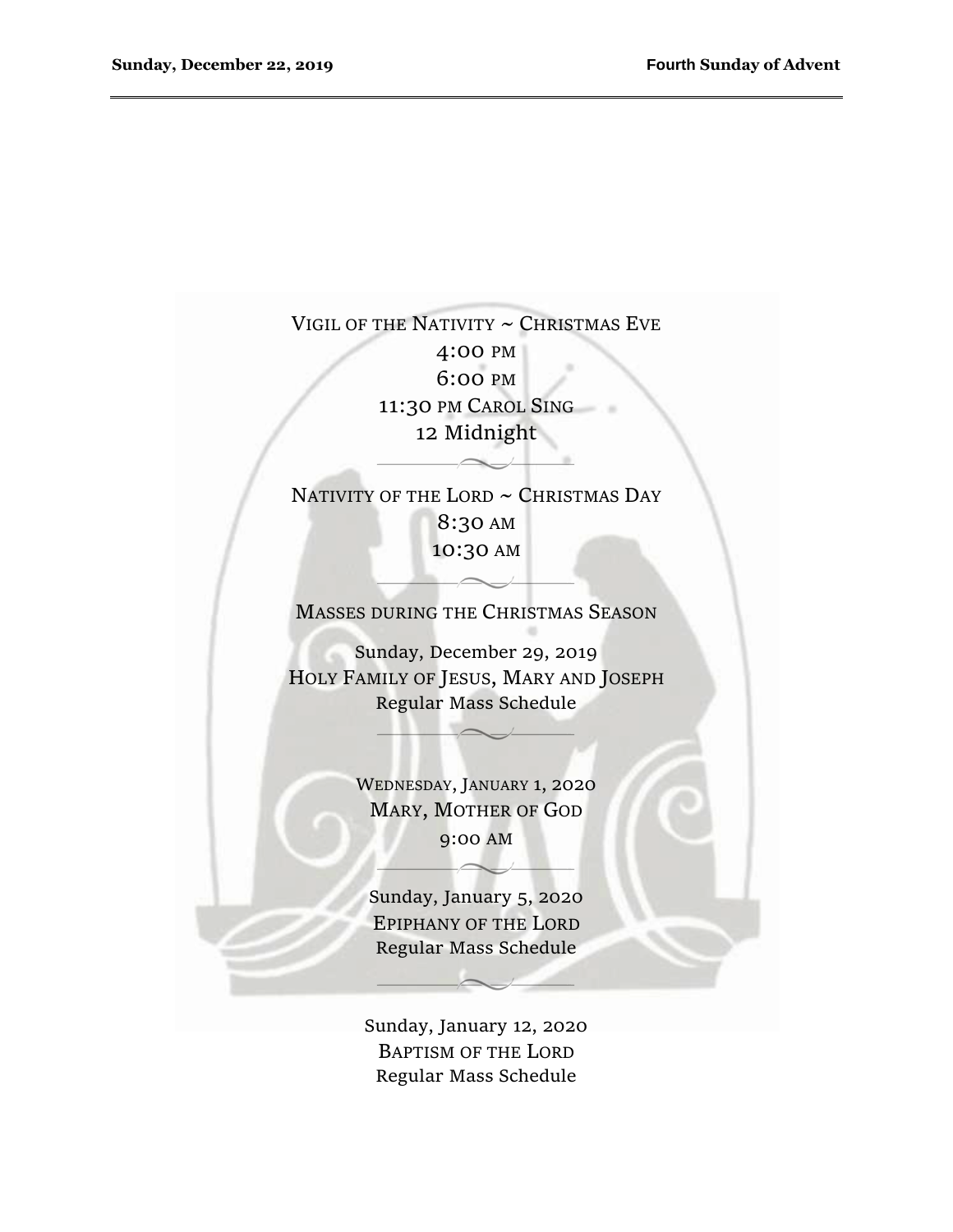# VIGIL OF THE NATIVITY  $\sim$  CHRISTMAS EVE 4:00 PM 6:00 PM 11:30 PM CAROL SING 12 Midnight

# NATIVITY OF THE LORD  $\sim$  CHRISTMAS DAY 8:30 AM 10:30 AM

MASSES DURING THE CHRISTMAS SEASON

Sunday, December 29, 2019 HOLY FAMILY OF JESUS, MARY AND JOSEPH Regular Mass Schedule

> WEDNESDAY, JANUARY 1, 2020 MARY, MOTHER OF GOD 9:00 AM

Sunday, January 5, 2020 EPIPHANY OF THE LORD Regular Mass Schedule

Sunday, January 12, 2020 BAPTISM OF THE LORD Regular Mass Schedule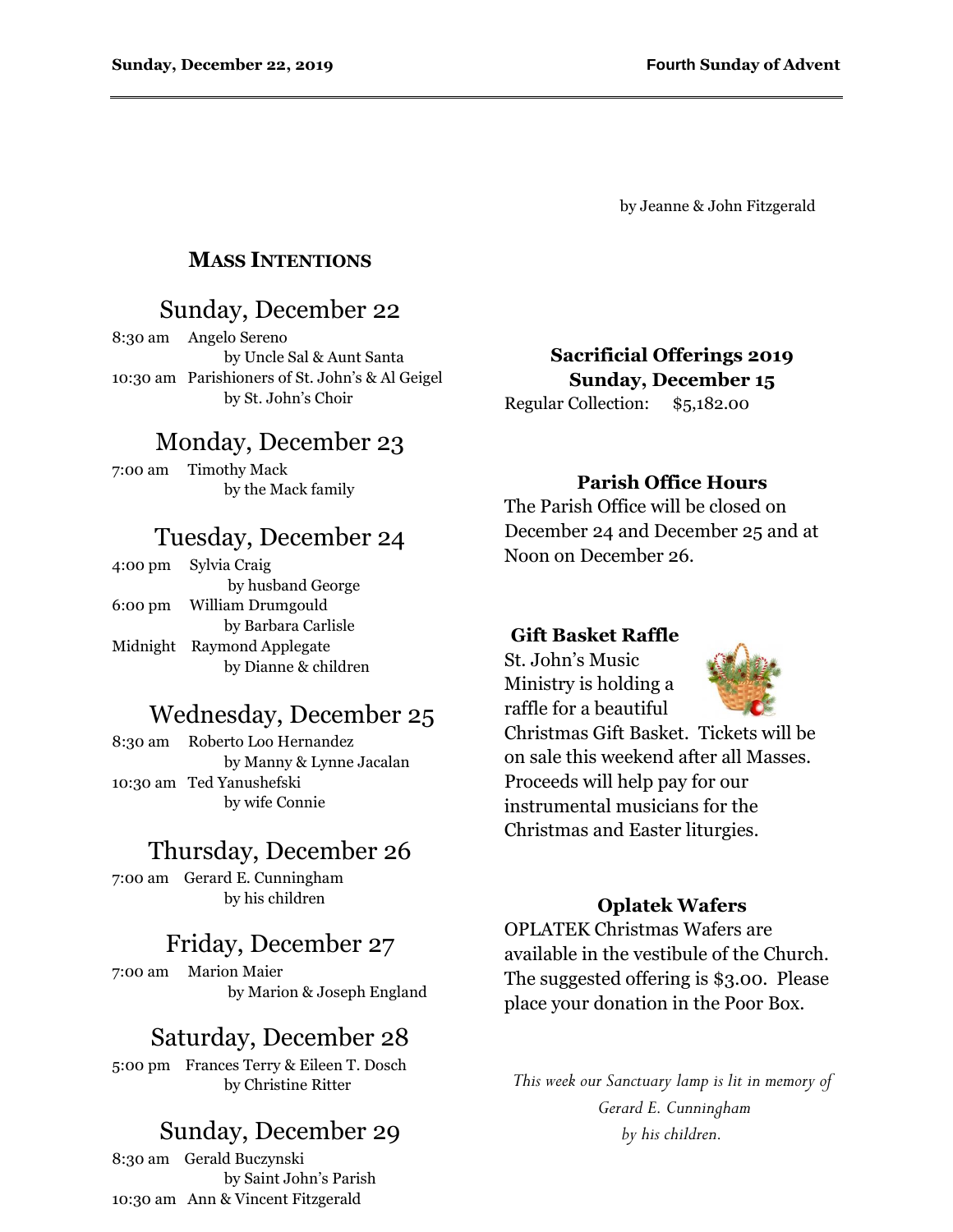by Jeanne & John Fitzgerald

### **MASS INTENTIONS**

## Sunday, December 22

8:30 am Angelo Sereno by Uncle Sal & Aunt Santa 10:30 am Parishioners of St. John's & Al Geigel by St. John's Choir

# Monday, December 23

7:00 am Timothy Mack by the Mack family

## Tuesday, December 24

4:00 pm Sylvia Craig by husband George 6:00 pm William Drumgould by Barbara Carlisle Midnight Raymond Applegate by Dianne & children

## Wednesday, December 25

8:30 am Roberto Loo Hernandez by Manny & Lynne Jacalan 10:30 am Ted Yanushefski by wife Connie

# Thursday, December 26

7:00 am Gerard E. Cunningham by his children

## Friday, December 27

7:00 am Marion Maier by Marion & Joseph England

## Saturday, December 28

5:00 pm Frances Terry & Eileen T. Dosch by Christine Ritter

## Sunday, December 29

8:30 am Gerald Buczynski by Saint John's Parish 10:30 am Ann & Vincent Fitzgerald

**Sacrificial Offerings 2019 Sunday, December 15**

Regular Collection: \$5,182.00

### **Parish Office Hours**

The Parish Office will be closed on December 24 and December 25 and at Noon on December 26.

#### **Gift Basket Raffle**

St. John's Music Ministry is holding a raffle for a beautiful



Christmas Gift Basket. Tickets will be on sale this weekend after all Masses. Proceeds will help pay for our instrumental musicians for the Christmas and Easter liturgies.

#### **Oplatek Wafers**

OPLATEK Christmas Wafers are available in the vestibule of the Church. The suggested offering is \$3.00. Please place your donation in the Poor Box.

*This week our Sanctuary lamp is lit in memory of Gerard E. Cunningham by his children.*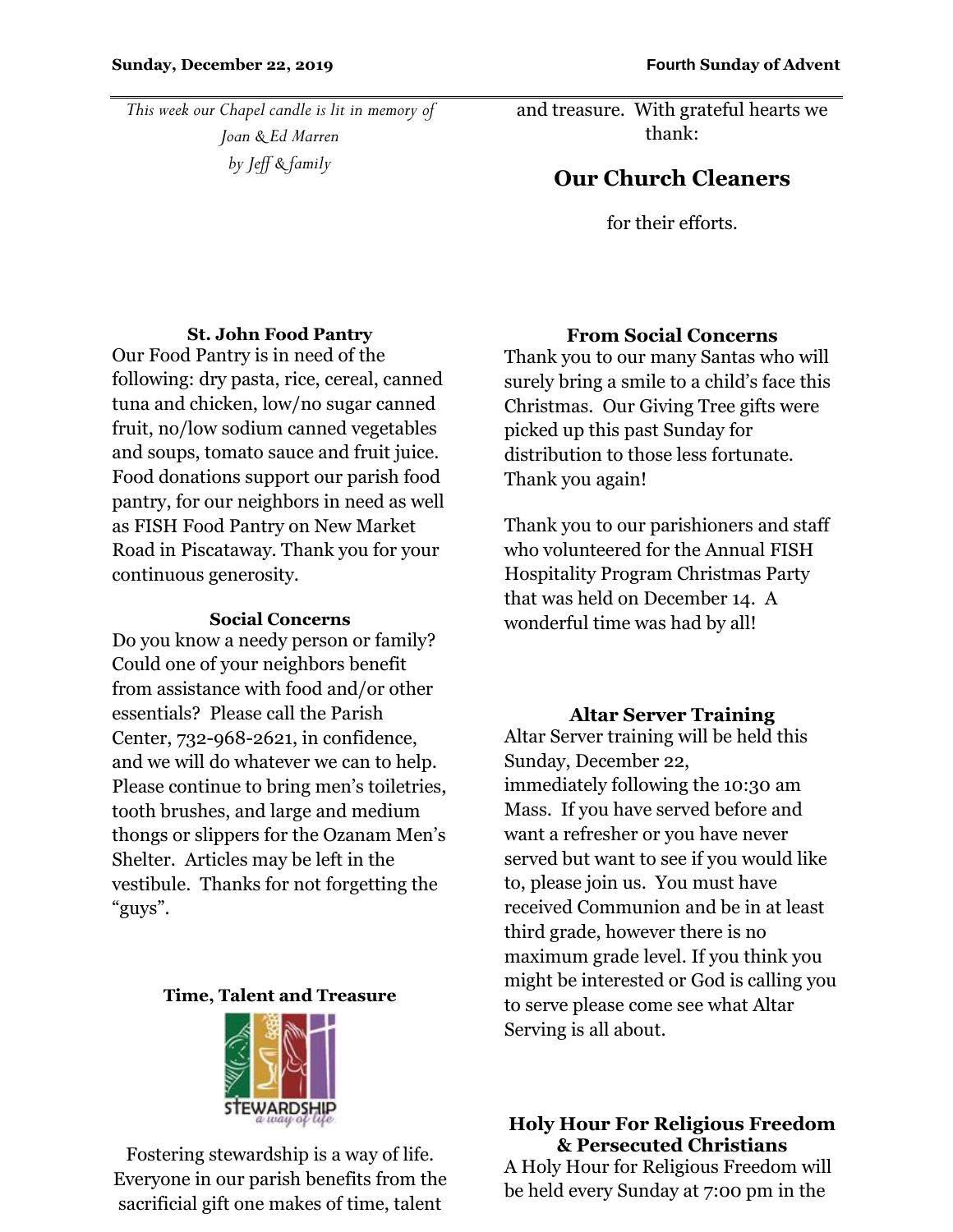*This week our Chapel candle is lit in memory of Joan & Ed Marren by Jeff & family*

and treasure. With grateful hearts we thank:

# **Our Church Cleaners**

for their efforts.

### **St. John Food Pantry**

Our Food Pantry is in need of the following: dry pasta, rice, cereal, canned tuna and chicken, low/no sugar canned fruit, no/low sodium canned vegetables and soups, tomato sauce and fruit juice. Food donations support our parish food pantry, for our neighbors in need as well as FISH Food Pantry on New Market Road in Piscataway. Thank you for your continuous generosity.

#### **Social Concerns**

Do you know a needy person or family? Could one of your neighbors benefit from assistance with food and/or other essentials? Please call the Parish Center, 732-968-2621, in confidence, and we will do whatever we can to help. Please continue to bring men's toiletries, tooth brushes, and large and medium thongs or slippers for the Ozanam Men's Shelter. Articles may be left in the vestibule. Thanks for not forgetting the "guys".

### **Time, Talent and Treasure**



Fostering stewardship is a way of life. Everyone in our parish benefits from the sacrificial gift one makes of time, talent

### **From Social Concerns**

Thank you to our many Santas who will surely bring a smile to a child's face this Christmas. Our Giving Tree gifts were picked up this past Sunday for distribution to those less fortunate. Thank you again!

Thank you to our parishioners and staff who volunteered for the Annual FISH Hospitality Program Christmas Party that was held on December 14. A wonderful time was had by all!

### **Altar Server Training**

Altar Server training will be held this Sunday, December 22, immediately following the 10:30 am Mass. If you have served before and want a refresher or you have never served but want to see if you would like to, please join us. You must have received Communion and be in at least third grade, however there is no maximum grade level. If you think you might be interested or God is calling you to serve please come see what Altar Serving is all about.

### **Holy Hour For Religious Freedom & Persecuted Christians**

A Holy Hour for Religious Freedom will be held every Sunday at 7:00 pm in the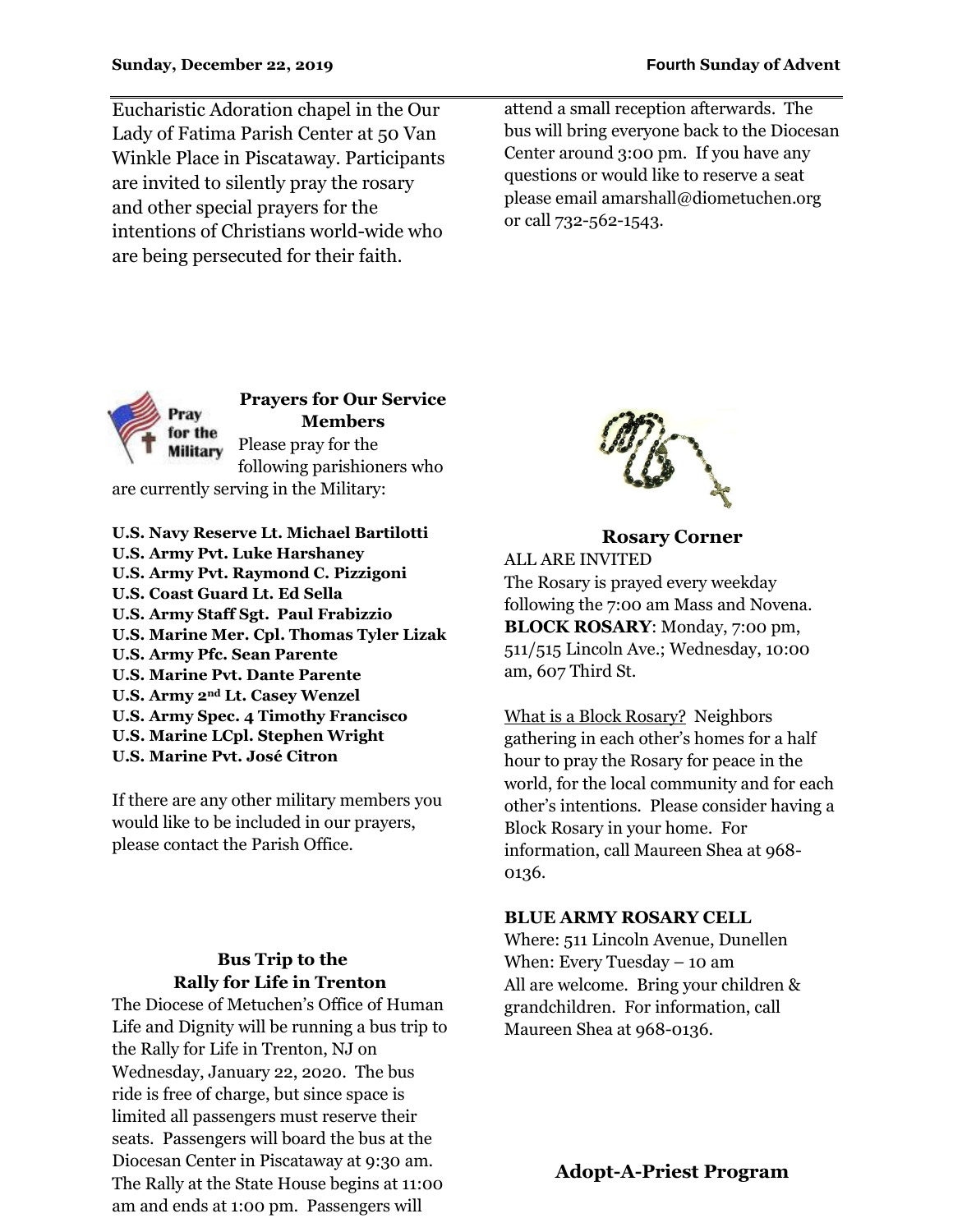Eucharistic Adoration chapel in the Our Lady of Fatima Parish Center at 50 Van Winkle Place in Piscataway. Participants are invited to silently pray the rosary and other special prayers for the intentions of Christians world-wide who are being persecuted for their faith.

attend a small reception afterwards. The bus will bring everyone back to the Diocesan Center around 3:00 pm. If you have any questions or would like to reserve a seat please email amarshall@diometuchen.org or call 732-562-1543.



**Prayers for Our Service Members** Please pray for the following parishioners who are currently serving in the Military:

**U.S. Navy Reserve Lt. Michael Bartilotti U.S. Army Pvt. Luke Harshaney U.S. Army Pvt. Raymond C. Pizzigoni U.S. Coast Guard Lt. Ed Sella U.S. Army Staff Sgt. Paul Frabizzio U.S. Marine Mer. Cpl. Thomas Tyler Lizak U.S. Army Pfc. Sean Parente U.S. Marine Pvt. Dante Parente U.S. Army 2nd Lt. Casey Wenzel U.S. Army Spec. 4 Timothy Francisco U.S. Marine LCpl. Stephen Wright U.S. Marine Pvt. José Citron**

If there are any other military members you would like to be included in our prayers, please contact the Parish Office.

### **Bus Trip to the Rally for Life in Trenton**

The Diocese of Metuchen's Office of Human Life and Dignity will be running a bus trip to the Rally for Life in Trenton, NJ on Wednesday, January 22, 2020. The bus ride is free of charge, but since space is limited all passengers must reserve their seats. Passengers will board the bus at the Diocesan Center in Piscataway at 9:30 am. The Rally at the State House begins at 11:00 am and ends at 1:00 pm. Passengers will



**Rosary Corner** ALL ARE INVITED The Rosary is prayed every weekday following the 7:00 am Mass and Novena. **BLOCK ROSARY**: Monday, 7:00 pm, 511/515 Lincoln Ave.; Wednesday, 10:00 am, 607 Third St.

What is a Block Rosary? Neighbors gathering in each other's homes for a half hour to pray the Rosary for peace in the world, for the local community and for each other's intentions. Please consider having a Block Rosary in your home. For information, call Maureen Shea at 968- 0136.

### **BLUE ARMY ROSARY CELL**

Where: 511 Lincoln Avenue, Dunellen When: Every Tuesday – 10 am All are welcome. Bring your children & grandchildren. For information, call Maureen Shea at 968-0136.

**Adopt-A-Priest Program**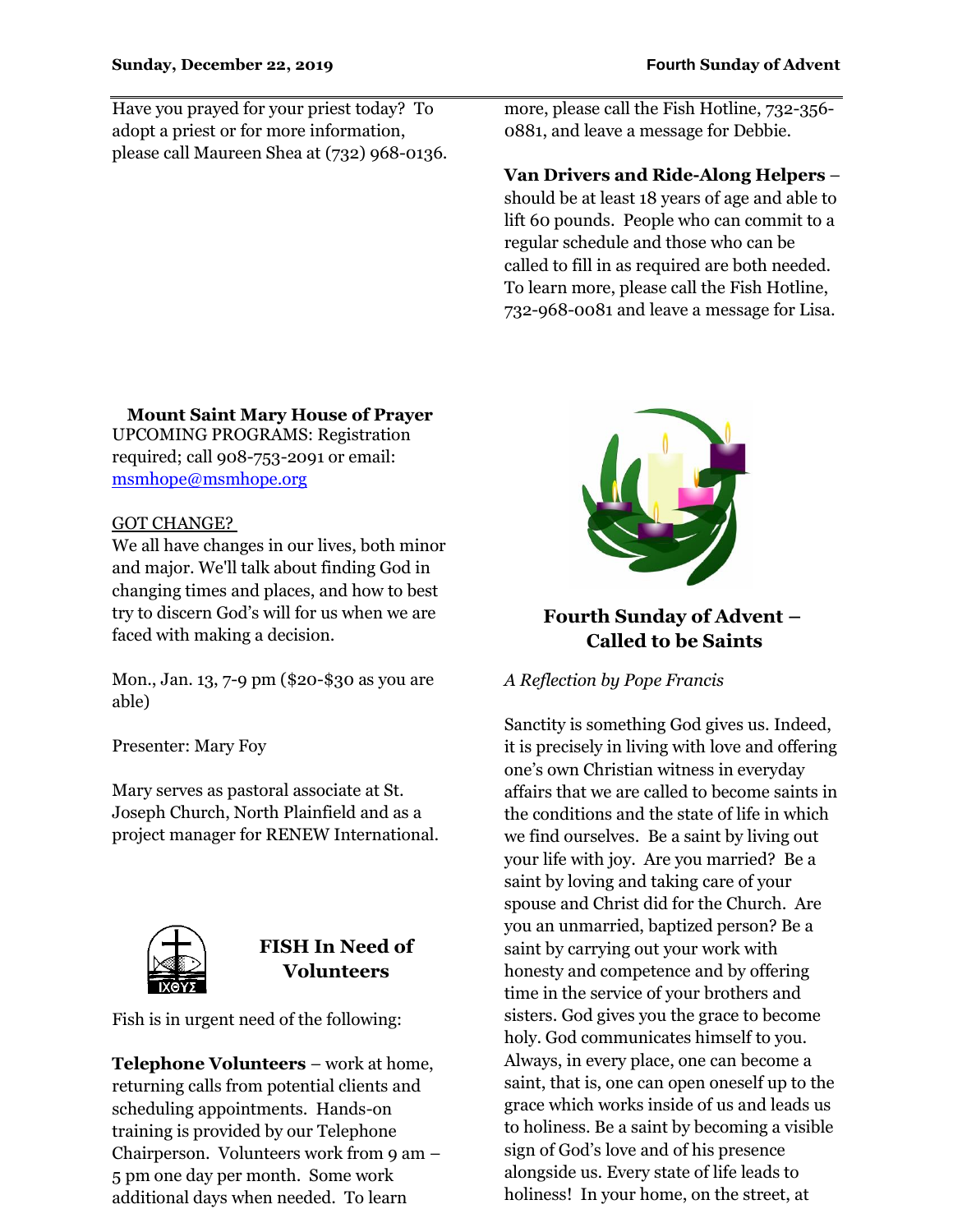Have you prayed for your priest today? To adopt a priest or for more information, please call Maureen Shea at (732) 968-0136. more, please call the Fish Hotline, 732-356- 0881, and leave a message for Debbie.

### **Van Drivers and Ride-Along Helpers** –

should be at least 18 years of age and able to lift 60 pounds. People who can commit to a regular schedule and those who can be called to fill in as required are both needed. To learn more, please call the Fish Hotline, 732-968-0081 and leave a message for Lisa.

### **Fourth Sunday of Advent – Called to be Saints**

*A Reflection by Pope Francis*

Sanctity is something God gives us. Indeed, it is precisely in living with love and offering one's own Christian witness in everyday affairs that we are called to become saints in the conditions and the state of life in which we find ourselves. Be a saint by living out your life with joy. Are you married? Be a saint by loving and taking care of your spouse and Christ did for the Church. Are you an unmarried, baptized person? Be a saint by carrying out your work with honesty and competence and by offering time in the service of your brothers and sisters. God gives you the grace to become holy. God communicates himself to you. Always, in every place, one can become a saint, that is, one can open oneself up to the grace which works inside of us and leads us to holiness. Be a saint by becoming a visible sign of God's love and of his presence alongside us. Every state of life leads to holiness! In your home, on the street, at

**Mount Saint Mary House of Prayer** UPCOMING PROGRAMS: Registration required; call 908-753-2091 or email:

#### GOT CHANGE?

[msmhope@msmhope.org](mailto:msmhope@msmhope.org)

We all have changes in our lives, both minor and major. We'll talk about finding God in changing times and places, and how to best try to discern God's will for us when we are faced with making a decision.

Mon., Jan. 13, 7-9 pm (\$20-\$30 as you are able)

Presenter: Mary Foy

Mary serves as pastoral associate at St. Joseph Church, North Plainfield and as a project manager for RENEW International.



## **FISH In Need of Volunteers**

Fish is in urgent need of the following:

**Telephone Volunteers** – work at home, returning calls from potential clients and scheduling appointments. Hands-on training is provided by our Telephone Chairperson. Volunteers work from 9 am – 5 pm one day per month. Some work additional days when needed. To learn